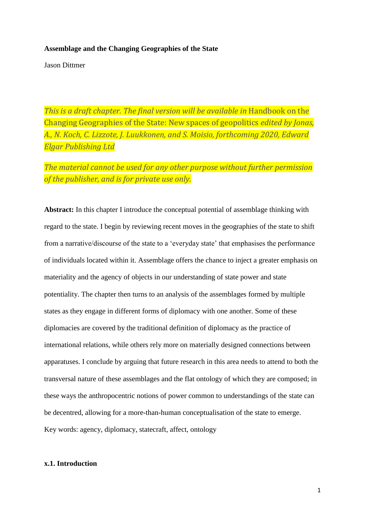# **Assemblage and the Changing Geographies of the State**

Jason Dittmer

*This is a draft chapter. The final version will be available in Handbook on the* Changing Geographies of the State: New spaces of geopolitics *edited by Jonas, A., N. Koch, C. Lizzote, J. Luukkonen, and S. Moisio, forthcoming 2020, Edward Elgar Publishing Ltd*

*The material cannot be used for any other purpose without further permission of the publisher, and is for private use only.*

**Abstract:** In this chapter I introduce the conceptual potential of assemblage thinking with regard to the state. I begin by reviewing recent moves in the geographies of the state to shift from a narrative/discourse of the state to a 'everyday state' that emphasises the performance of individuals located within it. Assemblage offers the chance to inject a greater emphasis on materiality and the agency of objects in our understanding of state power and state potentiality. The chapter then turns to an analysis of the assemblages formed by multiple states as they engage in different forms of diplomacy with one another. Some of these diplomacies are covered by the traditional definition of diplomacy as the practice of international relations, while others rely more on materially designed connections between apparatuses. I conclude by arguing that future research in this area needs to attend to both the transversal nature of these assemblages and the flat ontology of which they are composed; in these ways the anthropocentric notions of power common to understandings of the state can be decentred, allowing for a more-than-human conceptualisation of the state to emerge. Key words: agency, diplomacy, statecraft, affect, ontology

# **x.1. Introduction**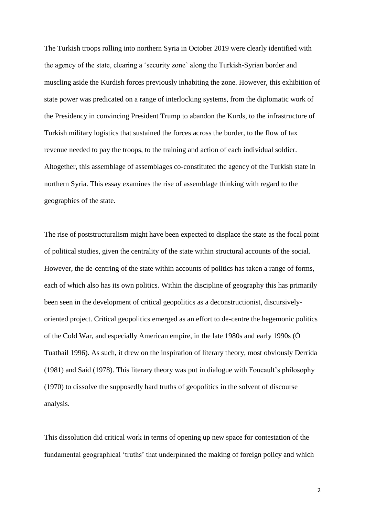The Turkish troops rolling into northern Syria in October 2019 were clearly identified with the agency of the state, clearing a 'security zone' along the Turkish-Syrian border and muscling aside the Kurdish forces previously inhabiting the zone. However, this exhibition of state power was predicated on a range of interlocking systems, from the diplomatic work of the Presidency in convincing President Trump to abandon the Kurds, to the infrastructure of Turkish military logistics that sustained the forces across the border, to the flow of tax revenue needed to pay the troops, to the training and action of each individual soldier. Altogether, this assemblage of assemblages co-constituted the agency of the Turkish state in northern Syria. This essay examines the rise of assemblage thinking with regard to the geographies of the state.

The rise of poststructuralism might have been expected to displace the state as the focal point of political studies, given the centrality of the state within structural accounts of the social. However, the de-centring of the state within accounts of politics has taken a range of forms, each of which also has its own politics. Within the discipline of geography this has primarily been seen in the development of critical geopolitics as a deconstructionist, discursivelyoriented project. Critical geopolitics emerged as an effort to de-centre the hegemonic politics of the Cold War, and especially American empire, in the late 1980s and early 1990s (Ó Tuathail 1996). As such, it drew on the inspiration of literary theory, most obviously Derrida (1981) and Said (1978). This literary theory was put in dialogue with Foucault's philosophy (1970) to dissolve the supposedly hard truths of geopolitics in the solvent of discourse analysis.

This dissolution did critical work in terms of opening up new space for contestation of the fundamental geographical 'truths' that underpinned the making of foreign policy and which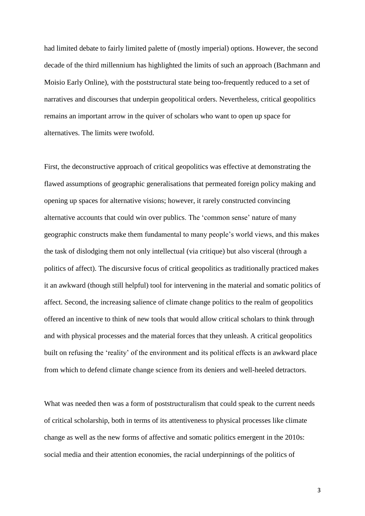had limited debate to fairly limited palette of (mostly imperial) options. However, the second decade of the third millennium has highlighted the limits of such an approach (Bachmann and Moisio Early Online), with the poststructural state being too-frequently reduced to a set of narratives and discourses that underpin geopolitical orders. Nevertheless, critical geopolitics remains an important arrow in the quiver of scholars who want to open up space for alternatives. The limits were twofold.

First, the deconstructive approach of critical geopolitics was effective at demonstrating the flawed assumptions of geographic generalisations that permeated foreign policy making and opening up spaces for alternative visions; however, it rarely constructed convincing alternative accounts that could win over publics. The 'common sense' nature of many geographic constructs make them fundamental to many people's world views, and this makes the task of dislodging them not only intellectual (via critique) but also visceral (through a politics of affect). The discursive focus of critical geopolitics as traditionally practiced makes it an awkward (though still helpful) tool for intervening in the material and somatic politics of affect. Second, the increasing salience of climate change politics to the realm of geopolitics offered an incentive to think of new tools that would allow critical scholars to think through and with physical processes and the material forces that they unleash. A critical geopolitics built on refusing the 'reality' of the environment and its political effects is an awkward place from which to defend climate change science from its deniers and well-heeled detractors.

What was needed then was a form of poststructuralism that could speak to the current needs of critical scholarship, both in terms of its attentiveness to physical processes like climate change as well as the new forms of affective and somatic politics emergent in the 2010s: social media and their attention economies, the racial underpinnings of the politics of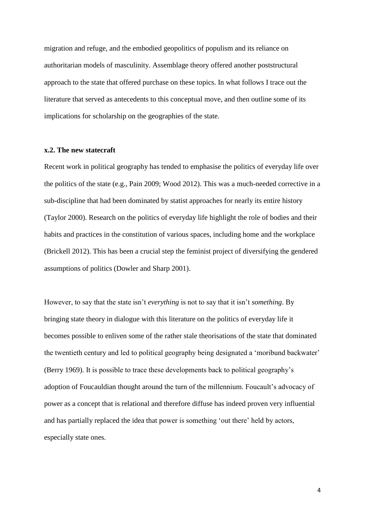migration and refuge, and the embodied geopolitics of populism and its reliance on authoritarian models of masculinity. Assemblage theory offered another poststructural approach to the state that offered purchase on these topics. In what follows I trace out the literature that served as antecedents to this conceptual move, and then outline some of its implications for scholarship on the geographies of the state.

## **x.2. The new statecraft**

Recent work in political geography has tended to emphasise the politics of everyday life over the politics of the state (e.g., Pain 2009; Wood 2012). This was a much-needed corrective in a sub-discipline that had been dominated by statist approaches for nearly its entire history (Taylor 2000). Research on the politics of everyday life highlight the role of bodies and their habits and practices in the constitution of various spaces, including home and the workplace (Brickell 2012). This has been a crucial step the feminist project of diversifying the gendered assumptions of politics (Dowler and Sharp 2001).

However, to say that the state isn't *everything* is not to say that it isn't *something*. By bringing state theory in dialogue with this literature on the politics of everyday life it becomes possible to enliven some of the rather stale theorisations of the state that dominated the twentieth century and led to political geography being designated a 'moribund backwater' (Berry 1969). It is possible to trace these developments back to political geography's adoption of Foucauldian thought around the turn of the millennium. Foucault's advocacy of power as a concept that is relational and therefore diffuse has indeed proven very influential and has partially replaced the idea that power is something 'out there' held by actors, especially state ones.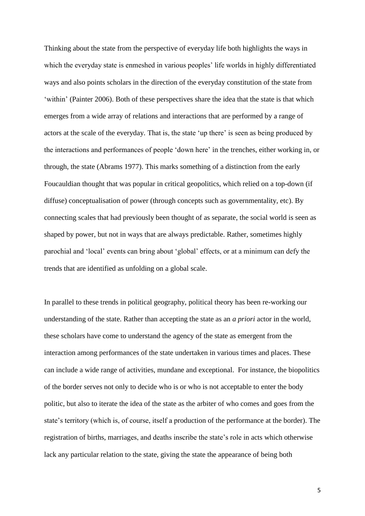Thinking about the state from the perspective of everyday life both highlights the ways in which the everyday state is enmeshed in various peoples' life worlds in highly differentiated ways and also points scholars in the direction of the everyday constitution of the state from 'within' (Painter 2006). Both of these perspectives share the idea that the state is that which emerges from a wide array of relations and interactions that are performed by a range of actors at the scale of the everyday. That is, the state 'up there' is seen as being produced by the interactions and performances of people 'down here' in the trenches, either working in, or through, the state (Abrams 1977). This marks something of a distinction from the early Foucauldian thought that was popular in critical geopolitics, which relied on a top-down (if diffuse) conceptualisation of power (through concepts such as governmentality, etc). By connecting scales that had previously been thought of as separate, the social world is seen as shaped by power, but not in ways that are always predictable. Rather, sometimes highly parochial and 'local' events can bring about 'global' effects, or at a minimum can defy the trends that are identified as unfolding on a global scale.

In parallel to these trends in political geography, political theory has been re-working our understanding of the state. Rather than accepting the state as an *a priori* actor in the world, these scholars have come to understand the agency of the state as emergent from the interaction among performances of the state undertaken in various times and places. These can include a wide range of activities, mundane and exceptional. For instance, the biopolitics of the border serves not only to decide who is or who is not acceptable to enter the body politic, but also to iterate the idea of the state as the arbiter of who comes and goes from the state's territory (which is, of course, itself a production of the performance at the border). The registration of births, marriages, and deaths inscribe the state's role in acts which otherwise lack any particular relation to the state, giving the state the appearance of being both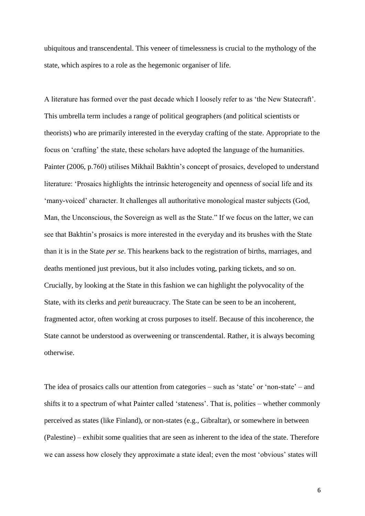ubiquitous and transcendental. This veneer of timelessness is crucial to the mythology of the state, which aspires to a role as the hegemonic organiser of life.

A literature has formed over the past decade which I loosely refer to as 'the New Statecraft'. This umbrella term includes a range of political geographers (and political scientists or theorists) who are primarily interested in the everyday crafting of the state. Appropriate to the focus on 'crafting' the state, these scholars have adopted the language of the humanities. Painter (2006, p.760) utilises Mikhail Bakhtin's concept of prosaics, developed to understand literature: 'Prosaics highlights the intrinsic heterogeneity and openness of social life and its 'many-voiced' character. It challenges all authoritative monological master subjects (God, Man, the Unconscious, the Sovereign as well as the State." If we focus on the latter, we can see that Bakhtin's prosaics is more interested in the everyday and its brushes with the State than it is in the State *per se*. This hearkens back to the registration of births, marriages, and deaths mentioned just previous, but it also includes voting, parking tickets, and so on. Crucially, by looking at the State in this fashion we can highlight the polyvocality of the State, with its clerks and *petit* bureaucracy. The State can be seen to be an incoherent, fragmented actor, often working at cross purposes to itself. Because of this incoherence, the State cannot be understood as overweening or transcendental. Rather, it is always becoming otherwise.

The idea of prosaics calls our attention from categories – such as 'state' or 'non-state' – and shifts it to a spectrum of what Painter called 'stateness'. That is, polities – whether commonly perceived as states (like Finland), or non-states (e.g., Gibraltar), or somewhere in between (Palestine) – exhibit some qualities that are seen as inherent to the idea of the state. Therefore we can assess how closely they approximate a state ideal; even the most 'obvious' states will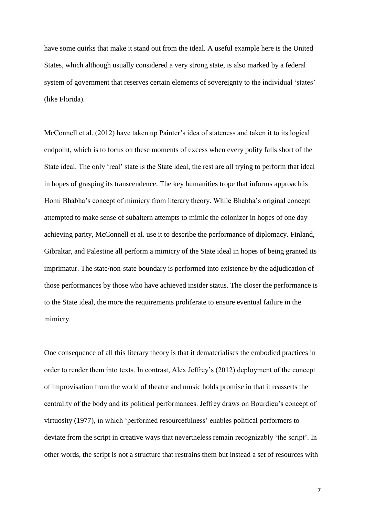have some quirks that make it stand out from the ideal. A useful example here is the United States, which although usually considered a very strong state, is also marked by a federal system of government that reserves certain elements of sovereignty to the individual 'states' (like Florida).

McConnell et al. (2012) have taken up Painter's idea of stateness and taken it to its logical endpoint, which is to focus on these moments of excess when every polity falls short of the State ideal. The only 'real' state is the State ideal, the rest are all trying to perform that ideal in hopes of grasping its transcendence. The key humanities trope that informs approach is Homi Bhabha's concept of mimicry from literary theory. While Bhabha's original concept attempted to make sense of subaltern attempts to mimic the colonizer in hopes of one day achieving parity, McConnell et al. use it to describe the performance of diplomacy. Finland, Gibraltar, and Palestine all perform a mimicry of the State ideal in hopes of being granted its imprimatur. The state/non-state boundary is performed into existence by the adjudication of those performances by those who have achieved insider status. The closer the performance is to the State ideal, the more the requirements proliferate to ensure eventual failure in the mimicry.

One consequence of all this literary theory is that it dematerialises the embodied practices in order to render them into texts. In contrast, Alex Jeffrey's (2012) deployment of the concept of improvisation from the world of theatre and music holds promise in that it reasserts the centrality of the body and its political performances. Jeffrey draws on Bourdieu's concept of virtuosity (1977), in which 'performed resourcefulness' enables political performers to deviate from the script in creative ways that nevertheless remain recognizably 'the script'. In other words, the script is not a structure that restrains them but instead a set of resources with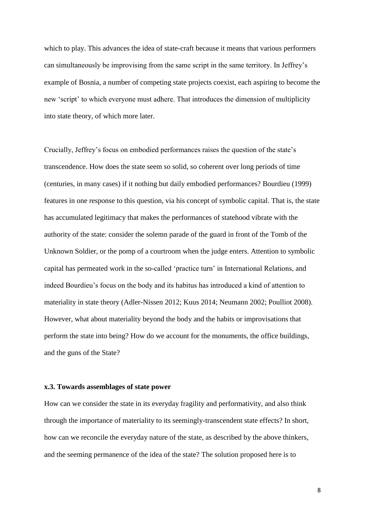which to play. This advances the idea of state-craft because it means that various performers can simultaneously be improvising from the same script in the same territory. In Jeffrey's example of Bosnia, a number of competing state projects coexist, each aspiring to become the new 'script' to which everyone must adhere. That introduces the dimension of multiplicity into state theory, of which more later.

Crucially, Jeffrey's focus on embodied performances raises the question of the state's transcendence. How does the state seem so solid, so coherent over long periods of time (centuries, in many cases) if it nothing but daily embodied performances? Bourdieu (1999) features in one response to this question, via his concept of symbolic capital. That is, the state has accumulated legitimacy that makes the performances of statehood vibrate with the authority of the state: consider the solemn parade of the guard in front of the Tomb of the Unknown Soldier, or the pomp of a courtroom when the judge enters. Attention to symbolic capital has permeated work in the so-called 'practice turn' in International Relations, and indeed Bourdieu's focus on the body and its habitus has introduced a kind of attention to materiality in state theory (Adler-Nissen 2012; Kuus 2014; Neumann 2002; Poulliot 2008). However, what about materiality beyond the body and the habits or improvisations that perform the state into being? How do we account for the monuments, the office buildings, and the guns of the State?

### **x.3. Towards assemblages of state power**

How can we consider the state in its everyday fragility and performativity, and also think through the importance of materiality to its seemingly-transcendent state effects? In short, how can we reconcile the everyday nature of the state, as described by the above thinkers, and the seeming permanence of the idea of the state? The solution proposed here is to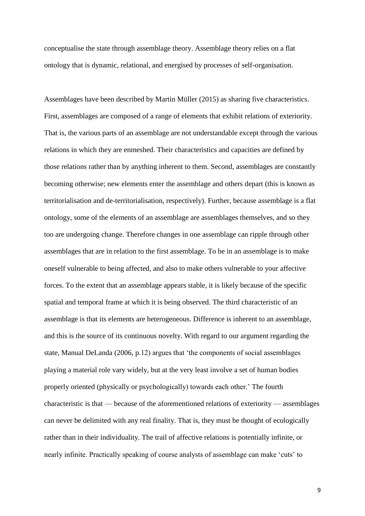conceptualise the state through assemblage theory. Assemblage theory relies on a flat ontology that is dynamic, relational, and energised by processes of self-organisation.

Assemblages have been described by Martin Müller (2015) as sharing five characteristics. First, assemblages are composed of a range of elements that exhibit relations of exteriority. That is, the various parts of an assemblage are not understandable except through the various relations in which they are enmeshed. Their characteristics and capacities are defined by those relations rather than by anything inherent to them. Second, assemblages are constantly becoming otherwise; new elements enter the assemblage and others depart (this is known as territorialisation and de-territorialisation, respectively). Further, because assemblage is a flat ontology, some of the elements of an assemblage are assemblages themselves, and so they too are undergoing change. Therefore changes in one assemblage can ripple through other assemblages that are in relation to the first assemblage. To be in an assemblage is to make oneself vulnerable to being affected, and also to make others vulnerable to your affective forces. To the extent that an assemblage appears stable, it is likely because of the specific spatial and temporal frame at which it is being observed. The third characteristic of an assemblage is that its elements are heterogeneous. Difference is inherent to an assemblage, and this is the source of its continuous novelty. With regard to our argument regarding the state, Manual DeLanda (2006, p.12) argues that 'the components of social assemblages playing a material role vary widely, but at the very least involve a set of human bodies properly oriented (physically or psychologically) towards each other.' The fourth characteristic is that — because of the aforementioned relations of exteriority — assemblages can never be delimited with any real finality. That is, they must be thought of ecologically rather than in their individuality. The trail of affective relations is potentially infinite, or nearly infinite. Practically speaking of course analysts of assemblage can make 'cuts' to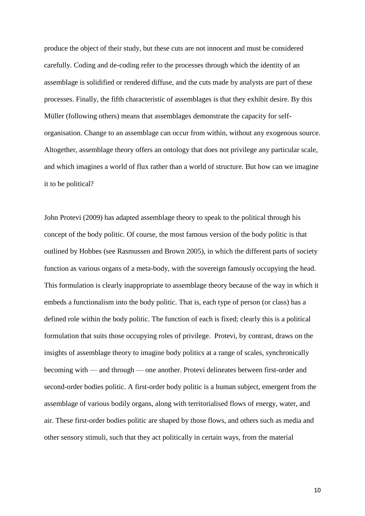produce the object of their study, but these cuts are not innocent and must be considered carefully. Coding and de-coding refer to the processes through which the identity of an assemblage is solidified or rendered diffuse, and the cuts made by analysts are part of these processes. Finally, the fifth characteristic of assemblages is that they exhibit desire. By this Müller (following others) means that assemblages demonstrate the capacity for selforganisation. Change to an assemblage can occur from within, without any exogenous source. Altogether, assemblage theory offers an ontology that does not privilege any particular scale, and which imagines a world of flux rather than a world of structure. But how can we imagine it to be political?

John Protevi (2009) has adapted assemblage theory to speak to the political through his concept of the body politic. Of course, the most famous version of the body politic is that outlined by Hobbes (see Rasmussen and Brown 2005), in which the different parts of society function as various organs of a meta-body, with the sovereign famously occupying the head. This formulation is clearly inappropriate to assemblage theory because of the way in which it embeds a functionalism into the body politic. That is, each type of person (or class) has a defined role within the body politic. The function of each is fixed; clearly this is a political formulation that suits those occupying roles of privilege. Protevi, by contrast, draws on the insights of assemblage theory to imagine body politics at a range of scales, synchronically becoming with — and through — one another. Protevi delineates between first-order and second-order bodies politic. A first-order body politic is a human subject, emergent from the assemblage of various bodily organs, along with territorialised flows of energy, water, and air. These first-order bodies politic are shaped by those flows, and others such as media and other sensory stimuli, such that they act politically in certain ways, from the material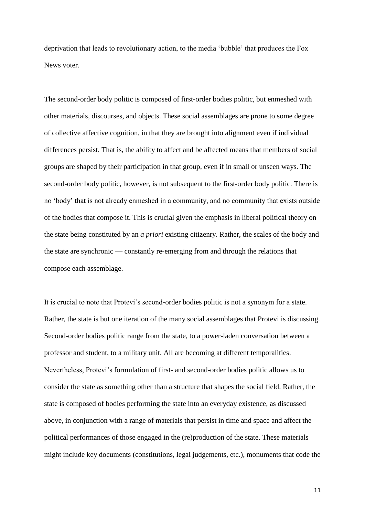deprivation that leads to revolutionary action, to the media 'bubble' that produces the Fox News voter.

The second-order body politic is composed of first-order bodies politic, but enmeshed with other materials, discourses, and objects. These social assemblages are prone to some degree of collective affective cognition, in that they are brought into alignment even if individual differences persist. That is, the ability to affect and be affected means that members of social groups are shaped by their participation in that group, even if in small or unseen ways. The second-order body politic, however, is not subsequent to the first-order body politic. There is no 'body' that is not already enmeshed in a community, and no community that exists outside of the bodies that compose it. This is crucial given the emphasis in liberal political theory on the state being constituted by an *a priori* existing citizenry. Rather, the scales of the body and the state are synchronic — constantly re-emerging from and through the relations that compose each assemblage.

It is crucial to note that Protevi's second-order bodies politic is not a synonym for a state. Rather, the state is but one iteration of the many social assemblages that Protevi is discussing. Second-order bodies politic range from the state, to a power-laden conversation between a professor and student, to a military unit. All are becoming at different temporalities. Nevertheless, Protevi's formulation of first- and second-order bodies politic allows us to consider the state as something other than a structure that shapes the social field. Rather, the state is composed of bodies performing the state into an everyday existence, as discussed above, in conjunction with a range of materials that persist in time and space and affect the political performances of those engaged in the (re)production of the state. These materials might include key documents (constitutions, legal judgements, etc.), monuments that code the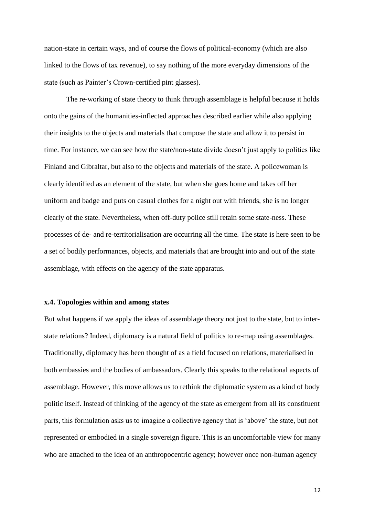nation-state in certain ways, and of course the flows of political-economy (which are also linked to the flows of tax revenue), to say nothing of the more everyday dimensions of the state (such as Painter's Crown-certified pint glasses).

The re-working of state theory to think through assemblage is helpful because it holds onto the gains of the humanities-inflected approaches described earlier while also applying their insights to the objects and materials that compose the state and allow it to persist in time. For instance, we can see how the state/non-state divide doesn't just apply to polities like Finland and Gibraltar, but also to the objects and materials of the state. A policewoman is clearly identified as an element of the state, but when she goes home and takes off her uniform and badge and puts on casual clothes for a night out with friends, she is no longer clearly of the state. Nevertheless, when off-duty police still retain some state-ness. These processes of de- and re-territorialisation are occurring all the time. The state is here seen to be a set of bodily performances, objects, and materials that are brought into and out of the state assemblage, with effects on the agency of the state apparatus.

#### **x.4. Topologies within and among states**

But what happens if we apply the ideas of assemblage theory not just to the state, but to interstate relations? Indeed, diplomacy is a natural field of politics to re-map using assemblages. Traditionally, diplomacy has been thought of as a field focused on relations, materialised in both embassies and the bodies of ambassadors. Clearly this speaks to the relational aspects of assemblage. However, this move allows us to rethink the diplomatic system as a kind of body politic itself. Instead of thinking of the agency of the state as emergent from all its constituent parts, this formulation asks us to imagine a collective agency that is 'above' the state, but not represented or embodied in a single sovereign figure. This is an uncomfortable view for many who are attached to the idea of an anthropocentric agency; however once non-human agency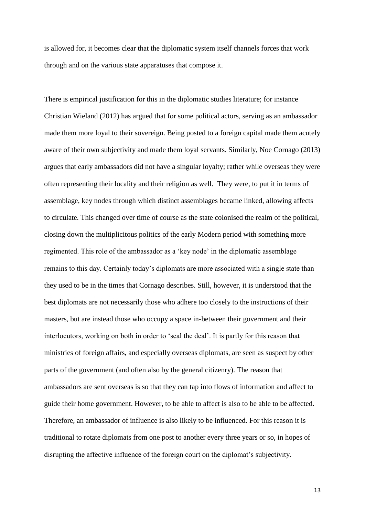is allowed for, it becomes clear that the diplomatic system itself channels forces that work through and on the various state apparatuses that compose it.

There is empirical justification for this in the diplomatic studies literature; for instance Christian Wieland (2012) has argued that for some political actors, serving as an ambassador made them more loyal to their sovereign. Being posted to a foreign capital made them acutely aware of their own subjectivity and made them loyal servants. Similarly, Noe Cornago (2013) argues that early ambassadors did not have a singular loyalty; rather while overseas they were often representing their locality and their religion as well. They were, to put it in terms of assemblage, key nodes through which distinct assemblages became linked, allowing affects to circulate. This changed over time of course as the state colonised the realm of the political, closing down the multiplicitous politics of the early Modern period with something more regimented. This role of the ambassador as a 'key node' in the diplomatic assemblage remains to this day. Certainly today's diplomats are more associated with a single state than they used to be in the times that Cornago describes. Still, however, it is understood that the best diplomats are not necessarily those who adhere too closely to the instructions of their masters, but are instead those who occupy a space in-between their government and their interlocutors, working on both in order to 'seal the deal'. It is partly for this reason that ministries of foreign affairs, and especially overseas diplomats, are seen as suspect by other parts of the government (and often also by the general citizenry). The reason that ambassadors are sent overseas is so that they can tap into flows of information and affect to guide their home government. However, to be able to affect is also to be able to be affected. Therefore, an ambassador of influence is also likely to be influenced. For this reason it is traditional to rotate diplomats from one post to another every three years or so, in hopes of disrupting the affective influence of the foreign court on the diplomat's subjectivity.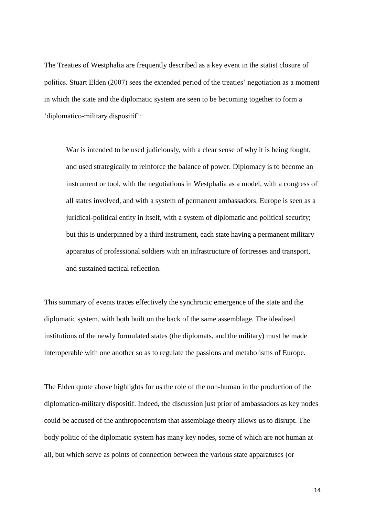The Treaties of Westphalia are frequently described as a key event in the statist closure of politics. Stuart Elden (2007) sees the extended period of the treaties' negotiation as a moment in which the state and the diplomatic system are seen to be becoming together to form a 'diplomatico-military dispositif':

War is intended to be used judiciously, with a clear sense of why it is being fought, and used strategically to reinforce the balance of power. Diplomacy is to become an instrument or tool, with the negotiations in Westphalia as a model, with a congress of all states involved, and with a system of permanent ambassadors. Europe is seen as a juridical-political entity in itself, with a system of diplomatic and political security; but this is underpinned by a third instrument, each state having a permanent military apparatus of professional soldiers with an infrastructure of fortresses and transport, and sustained tactical reflection.

This summary of events traces effectively the synchronic emergence of the state and the diplomatic system, with both built on the back of the same assemblage. The idealised institutions of the newly formulated states (the diplomats, and the military) must be made interoperable with one another so as to regulate the passions and metabolisms of Europe.

The Elden quote above highlights for us the role of the non-human in the production of the diplomatico-military dispositif. Indeed, the discussion just prior of ambassadors as key nodes could be accused of the anthropocentrism that assemblage theory allows us to disrupt. The body politic of the diplomatic system has many key nodes, some of which are not human at all, but which serve as points of connection between the various state apparatuses (or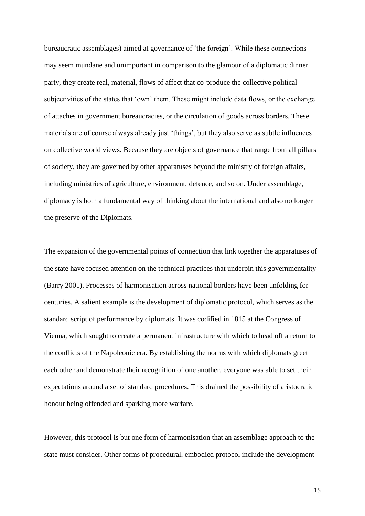bureaucratic assemblages) aimed at governance of 'the foreign'. While these connections may seem mundane and unimportant in comparison to the glamour of a diplomatic dinner party, they create real, material, flows of affect that co-produce the collective political subjectivities of the states that 'own' them. These might include data flows, or the exchange of attaches in government bureaucracies, or the circulation of goods across borders. These materials are of course always already just 'things', but they also serve as subtle influences on collective world views. Because they are objects of governance that range from all pillars of society, they are governed by other apparatuses beyond the ministry of foreign affairs, including ministries of agriculture, environment, defence, and so on. Under assemblage, diplomacy is both a fundamental way of thinking about the international and also no longer the preserve of the Diplomats.

The expansion of the governmental points of connection that link together the apparatuses of the state have focused attention on the technical practices that underpin this governmentality (Barry 2001). Processes of harmonisation across national borders have been unfolding for centuries. A salient example is the development of diplomatic protocol, which serves as the standard script of performance by diplomats. It was codified in 1815 at the Congress of Vienna, which sought to create a permanent infrastructure with which to head off a return to the conflicts of the Napoleonic era. By establishing the norms with which diplomats greet each other and demonstrate their recognition of one another, everyone was able to set their expectations around a set of standard procedures. This drained the possibility of aristocratic honour being offended and sparking more warfare.

However, this protocol is but one form of harmonisation that an assemblage approach to the state must consider. Other forms of procedural, embodied protocol include the development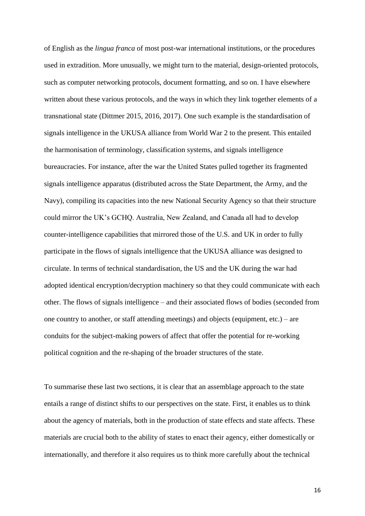of English as the *lingua franca* of most post-war international institutions, or the procedures used in extradition. More unusually, we might turn to the material, design-oriented protocols, such as computer networking protocols, document formatting, and so on. I have elsewhere written about these various protocols, and the ways in which they link together elements of a transnational state (Dittmer 2015, 2016, 2017). One such example is the standardisation of signals intelligence in the UKUSA alliance from World War 2 to the present. This entailed the harmonisation of terminology, classification systems, and signals intelligence bureaucracies. For instance, after the war the United States pulled together its fragmented signals intelligence apparatus (distributed across the State Department, the Army, and the Navy), compiling its capacities into the new National Security Agency so that their structure could mirror the UK's GCHQ. Australia, New Zealand, and Canada all had to develop counter-intelligence capabilities that mirrored those of the U.S. and UK in order to fully participate in the flows of signals intelligence that the UKUSA alliance was designed to circulate. In terms of technical standardisation, the US and the UK during the war had adopted identical encryption/decryption machinery so that they could communicate with each other. The flows of signals intelligence – and their associated flows of bodies (seconded from one country to another, or staff attending meetings) and objects (equipment, etc.) – are conduits for the subject-making powers of affect that offer the potential for re-working political cognition and the re-shaping of the broader structures of the state.

To summarise these last two sections, it is clear that an assemblage approach to the state entails a range of distinct shifts to our perspectives on the state. First, it enables us to think about the agency of materials, both in the production of state effects and state affects. These materials are crucial both to the ability of states to enact their agency, either domestically or internationally, and therefore it also requires us to think more carefully about the technical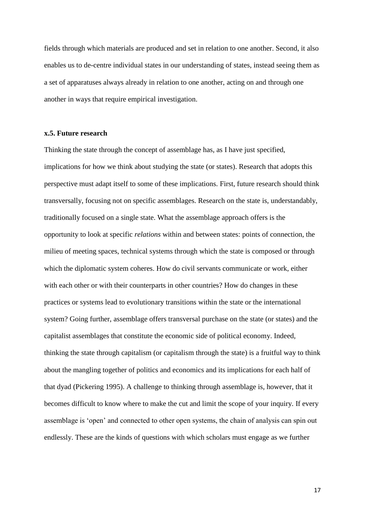fields through which materials are produced and set in relation to one another. Second, it also enables us to de-centre individual states in our understanding of states, instead seeing them as a set of apparatuses always already in relation to one another, acting on and through one another in ways that require empirical investigation.

## **x.5. Future research**

Thinking the state through the concept of assemblage has, as I have just specified, implications for how we think about studying the state (or states). Research that adopts this perspective must adapt itself to some of these implications. First, future research should think transversally, focusing not on specific assemblages. Research on the state is, understandably, traditionally focused on a single state. What the assemblage approach offers is the opportunity to look at specific *relations* within and between states: points of connection, the milieu of meeting spaces, technical systems through which the state is composed or through which the diplomatic system coheres. How do civil servants communicate or work, either with each other or with their counterparts in other countries? How do changes in these practices or systems lead to evolutionary transitions within the state or the international system? Going further, assemblage offers transversal purchase on the state (or states) and the capitalist assemblages that constitute the economic side of political economy. Indeed, thinking the state through capitalism (or capitalism through the state) is a fruitful way to think about the mangling together of politics and economics and its implications for each half of that dyad (Pickering 1995). A challenge to thinking through assemblage is, however, that it becomes difficult to know where to make the cut and limit the scope of your inquiry. If every assemblage is 'open' and connected to other open systems, the chain of analysis can spin out endlessly. These are the kinds of questions with which scholars must engage as we further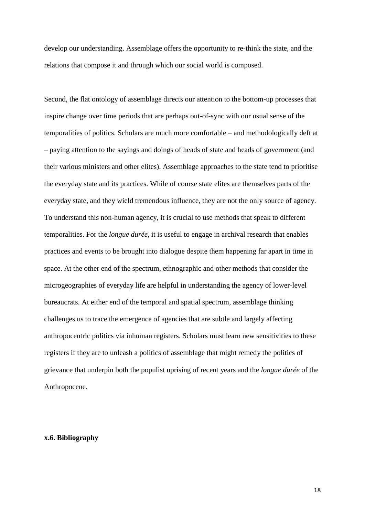develop our understanding. Assemblage offers the opportunity to re-think the state, and the relations that compose it and through which our social world is composed.

Second, the flat ontology of assemblage directs our attention to the bottom-up processes that inspire change over time periods that are perhaps out-of-sync with our usual sense of the temporalities of politics. Scholars are much more comfortable – and methodologically deft at – paying attention to the sayings and doings of heads of state and heads of government (and their various ministers and other elites). Assemblage approaches to the state tend to prioritise the everyday state and its practices. While of course state elites are themselves parts of the everyday state, and they wield tremendous influence, they are not the only source of agency. To understand this non-human agency, it is crucial to use methods that speak to different temporalities. For the *longue durée*, it is useful to engage in archival research that enables practices and events to be brought into dialogue despite them happening far apart in time in space. At the other end of the spectrum, ethnographic and other methods that consider the microgeographies of everyday life are helpful in understanding the agency of lower-level bureaucrats. At either end of the temporal and spatial spectrum, assemblage thinking challenges us to trace the emergence of agencies that are subtle and largely affecting anthropocentric politics via inhuman registers. Scholars must learn new sensitivities to these registers if they are to unleash a politics of assemblage that might remedy the politics of grievance that underpin both the populist uprising of recent years and the *longue durée* of the Anthropocene.

# **x.6. Bibliography**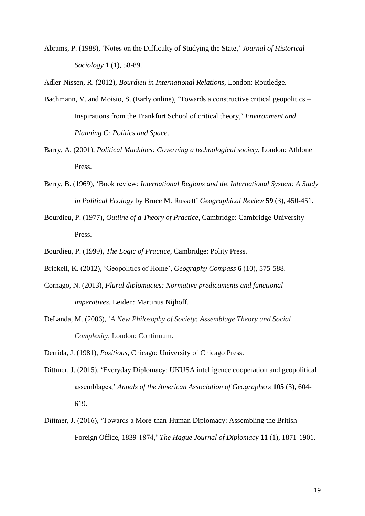Abrams, P. (1988), 'Notes on the Difficulty of Studying the State,' *Journal of Historical Sociology* **1** (1), 58-89.

Adler-Nissen, R. (2012), *Bourdieu in International Relations*, London: Routledge.

- Bachmann, V. and Moisio, S. (Early online), 'Towards a constructive critical geopolitics Inspirations from the Frankfurt School of critical theory,' *Environment and Planning C: Politics and Space*.
- Barry, A. (2001), *Political Machines: Governing a technological society*, London: Athlone Press.
- Berry, B. (1969), 'Book review: *International Regions and the International System: A Study in Political Ecology* by Bruce M. Russett' *Geographical Review* **59** (3), 450-451.
- Bourdieu, P. (1977), *Outline of a Theory of Practice*, Cambridge: Cambridge University Press.
- Bourdieu, P. (1999), *The Logic of Practice*, Cambridge: Polity Press.
- Brickell, K. (2012), 'Geopolitics of Home', *Geography Compass* **6** (10), 575-588.
- Cornago, N. (2013), *Plural diplomacies: Normative predicaments and functional imperatives*, Leiden: Martinus Nijhoff.
- DeLanda, M. (2006), '*A New Philosophy of Society: Assemblage Theory and Social Complexity*, London: Continuum.
- Derrida, J. (1981), *Positions*, Chicago: University of Chicago Press.
- Dittmer, J. (2015), 'Everyday Diplomacy: UKUSA intelligence cooperation and geopolitical assemblages,' *Annals of the American Association of Geographers* **105** (3), 604- 619.
- Dittmer, J. (2016), 'Towards a More-than-Human Diplomacy: Assembling the British Foreign Office, 1839-1874,' *The Hague Journal of Diplomacy* **11** (1), 1871-1901.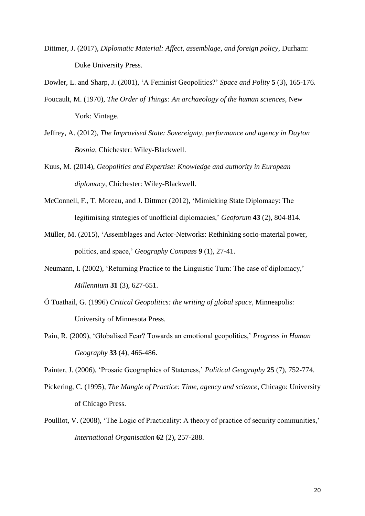- Dittmer, J. (2017), *Diplomatic Material: Affect, assemblage, and foreign policy*, Durham: Duke University Press.
- Dowler, L. and Sharp, J. (2001), 'A Feminist Geopolitics?' *Space and Polity* **5** (3), 165-176.
- Foucault, M. (1970), *The Order of Things: An archaeology of the human sciences*, New York: Vintage.
- Jeffrey, A. (2012), *The Improvised State: Sovereignty, performance and agency in Dayton Bosnia*, Chichester: Wiley-Blackwell.
- Kuus, M. (2014), *Geopolitics and Expertise: Knowledge and authority in European diplomacy*, Chichester: Wiley-Blackwell.
- McConnell, F., T. Moreau, and J. Dittmer (2012), 'Mimicking State Diplomacy: The legitimising strategies of unofficial diplomacies,' *Geoforum* **43** (2), 804-814.
- Müller, M. (2015), 'Assemblages and Actor-Networks: Rethinking socio-material power, politics, and space,' *Geography Compass* **9** (1), 27-41.
- Neumann, I. (2002), 'Returning Practice to the Linguistic Turn: The case of diplomacy,' *Millennium* **31** (3), 627-651.
- Ó Tuathail, G. (1996) *Critical Geopolitics: the writing of global space*, Minneapolis: University of Minnesota Press.
- Pain, R. (2009), 'Globalised Fear? Towards an emotional geopolitics,' *Progress in Human Geography* **33** (4), 466-486.

Painter, J. (2006), 'Prosaic Geographies of Stateness,' *Political Geography* **25** (7), 752-774.

- Pickering, C. (1995), *The Mangle of Practice: Time, agency and science*, Chicago: University of Chicago Press.
- Poulliot, V. (2008), 'The Logic of Practicality: A theory of practice of security communities,' *International Organisation* **62** (2), 257-288.